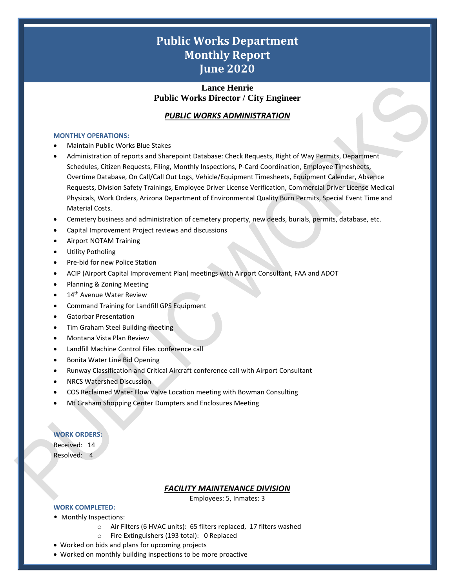# **Public Works Department Monthly Report June 2020**

# **Lance Henrie Public Works Director / City Engineer**

# *PUBLIC WORKS ADMINISTRATION*

#### **MONTHLY OPERATIONS:**

- Maintain Public Works Blue Stakes
- Administration of reports and Sharepoint Database: Check Requests, Right of Way Permits, Department Schedules, Citizen Requests, Filing, Monthly Inspections, P-Card Coordination, Employee Timesheets, Overtime Database, On Call/Call Out Logs, Vehicle/Equipment Timesheets, Equipment Calendar, Absence Requests, Division Safety Trainings, Employee Driver License Verification, Commercial Driver License Medical Physicals, Work Orders, Arizona Department of Environmental Quality Burn Permits, Special Event Time and Material Costs.
- Cemetery business and administration of cemetery property, new deeds, burials, permits, database, etc.
- Capital Improvement Project reviews and discussions
- Airport NOTAM Training
- Utility Potholing
- Pre-bid for new Police Station
- ACIP (Airport Capital Improvement Plan) meetings with Airport Consultant, FAA and ADOT
- Planning & Zoning Meeting
- 14<sup>th</sup> Avenue Water Review
- Command Training for Landfill GPS Equipment
- Gatorbar Presentation
- Tim Graham Steel Building meeting
- Montana Vista Plan Review
- Landfill Machine Control Files conference call
- Bonita Water Line Bid Opening
- Runway Classification and Critical Aircraft conference call with Airport Consultant
- NRCS Watershed Discussion
- COS Reclaimed Water Flow Valve Location meeting with Bowman Consulting
- Mt Graham Shopping Center Dumpters and Enclosures Meeting

### **WORK ORDERS:**

Received: 14 Resolved: 4

### *FACILITY MAINTENANCE DIVISION*

Employees: 5, Inmates: 3

1

### **WORK COMPLETED:**

- Monthly Inspections:
	- o Air Filters (6 HVAC units): 65 filters replaced, 17 filters washed
	- o Fire Extinguishers (193 total): 0 Replaced
- Worked on bids and plans for upcoming projects
- Worked on monthly building inspections to be more proactive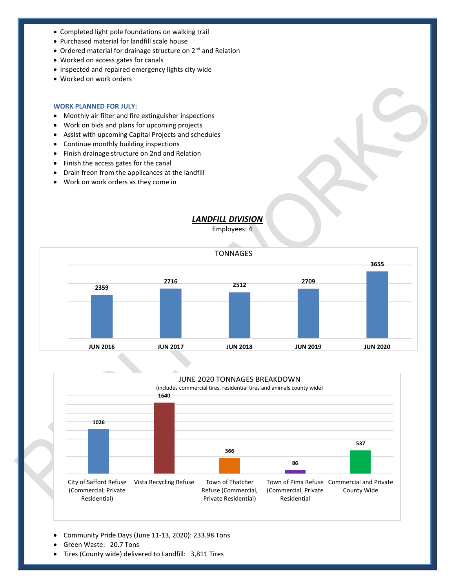- Completed light pole foundations on walking trail
- Purchased material for landfill scale house
- Ordered material for drainage structure on 2<sup>nd</sup> and Relation
- Worked on access gates for canals
- Inspected and repaired emergency lights city wide
- Worked on work orders

#### **WORK PLANNED FOR JULY:**

- Monthly air filter and fire extinguisher inspections
- Work on bids and plans for upcoming projects
- Assist with upcoming Capital Projects and schedules
- Continue monthly building inspections
- Finish drainage structure on 2nd and Relation
- Finish the access gates for the canal
- Drain freon from the applicances at the landfill
- Work on work orders as they come in

# *LANDFILL DIVISION*

Employees: 4





2

- Community Pride Days (June 11-13, 2020): 233.98 Tons
- Green Waste: 20.7 Tons
- Tires (County wide) delivered to Landfill: 3,811 Tires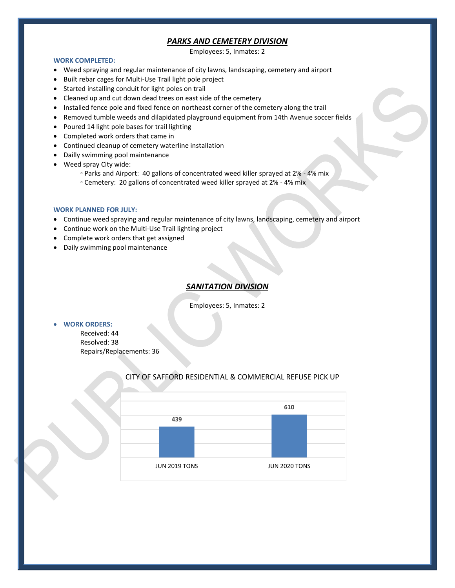# *PARKS AND CEMETERY DIVISION*

Employees: 5, Inmates: 2

#### **WORK COMPLETED:**

- Weed spraying and regular maintenance of city lawns, landscaping, cemetery and airport
- Built rebar cages for Multi-Use Trail light pole project
- Started installing conduit for light poles on trail
- Cleaned up and cut down dead trees on east side of the cemetery
- Installed fence pole and fixed fence on northeast corner of the cemetery along the trail
- Removed tumble weeds and dilapidated playground equipment from 14th Avenue soccer fields
- Poured 14 light pole bases for trail lighting
- Completed work orders that came in
- Continued cleanup of cemetery waterline installation
- Dailly swimming pool maintenance
- Weed spray City wide:
	- Parks and Airport: 40 gallons of concentrated weed killer sprayed at 2% 4% mix
	- Cemetery: 20 gallons of concentrated weed killer sprayed at 2% 4% mix

#### **WORK PLANNED FOR JULY:**

- Continue weed spraying and regular maintenance of city lawns, landscaping, cemetery and airport
- Continue work on the Multi-Use Trail lighting project
- Complete work orders that get assigned
- Daily swimming pool maintenance

# *SANITATION DIVISION*

Employees: 5, Inmates: 2

# • **WORK ORDERS:**

Received: 44 Resolved: 38 Repairs/Replacements: 36



3

# CITY OF SAFFORD RESIDENTIAL & COMMERCIAL REFUSE PICK UP